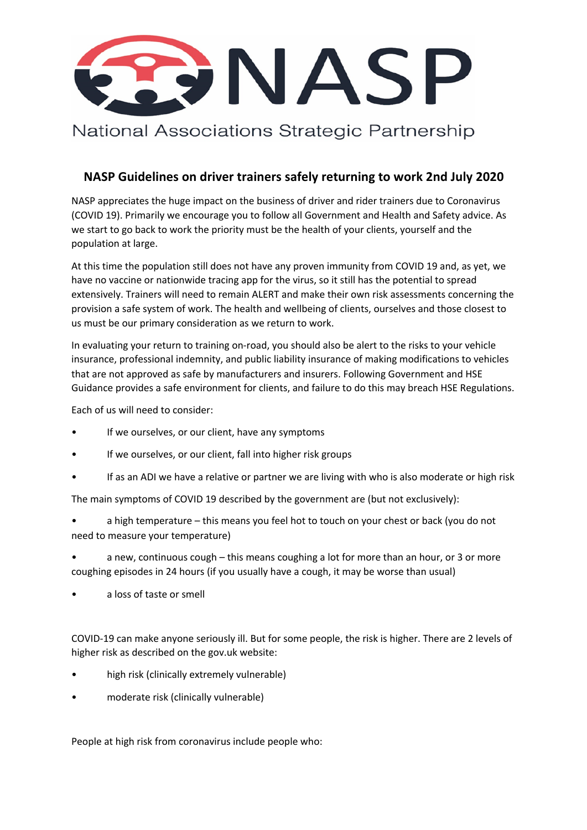

National Associations Strategic Partnership

## **NASP Guidelines on driver trainers safely returning to work 2nd July 2020**

NASP appreciates the huge impact on the business of driver and rider trainers due to Coronavirus (COVID 19). Primarily we encourage you to follow all Government and Health and Safety advice. As we start to go back to work the priority must be the health of your clients, yourself and the population at large.

At this time the population still does not have any proven immunity from COVID 19 and, as yet, we have no vaccine or nationwide tracing app for the virus, so it still has the potential to spread extensively. Trainers will need to remain ALERT and make their own risk assessments concerning the provision a safe system of work. The health and wellbeing of clients, ourselves and those closest to us must be our primary consideration as we return to work.

In evaluating your return to training on-road, you should also be alert to the risks to your vehicle insurance, professional indemnity, and public liability insurance of making modifications to vehicles that are not approved as safe by manufacturers and insurers. Following Government and HSE Guidance provides a safe environment for clients, and failure to do this may breach HSE Regulations.

Each of us will need to consider:

- If we ourselves, or our client, have any symptoms
- If we ourselves, or our client, fall into higher risk groups
- If as an ADI we have a relative or partner we are living with who is also moderate or high risk

The main symptoms of COVID 19 described by the government are (but not exclusively):

- a high temperature this means you feel hot to touch on your chest or back (you do not need to measure your temperature)
- a new, continuous cough this means coughing a lot for more than an hour, or 3 or more coughing episodes in 24 hours (if you usually have a cough, it may be worse than usual)
- a loss of taste or smell

COVID-19 can make anyone seriously ill. But for some people, the risk is higher. There are 2 levels of higher risk as described on the gov.uk website:

- high risk (clinically extremely vulnerable)
- moderate risk (clinically vulnerable)

People at high risk from coronavirus include people who: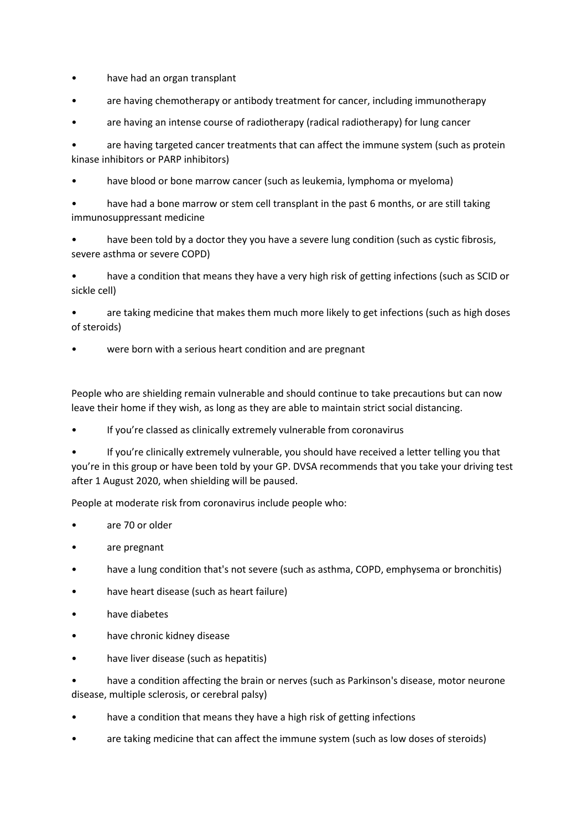- have had an organ transplant
- are having chemotherapy or antibody treatment for cancer, including immunotherapy
- are having an intense course of radiotherapy (radical radiotherapy) for lung cancer

are having targeted cancer treatments that can affect the immune system (such as protein kinase inhibitors or PARP inhibitors)

- have blood or bone marrow cancer (such as leukemia, lymphoma or myeloma)
- have had a bone marrow or stem cell transplant in the past 6 months, or are still taking immunosuppressant medicine
- have been told by a doctor they you have a severe lung condition (such as cystic fibrosis, severe asthma or severe COPD)

• have a condition that means they have a very high risk of getting infections (such as SCID or sickle cell)

are taking medicine that makes them much more likely to get infections (such as high doses of steroids)

were born with a serious heart condition and are pregnant

People who are shielding remain vulnerable and should continue to take precautions but can now leave their home if they wish, as long as they are able to maintain strict social distancing.

If you're classed as clinically extremely vulnerable from coronavirus

• If you're clinically extremely vulnerable, you should have received a letter telling you that you're in this group or have been told by your GP. DVSA recommends that you take your driving test after 1 August 2020, when shielding will be paused.

People at moderate risk from coronavirus include people who:

- are 70 or older
- are pregnant
- have a lung condition that's not severe (such as asthma, COPD, emphysema or bronchitis)
- have heart disease (such as heart failure)
- have diabetes
- have chronic kidney disease
- have liver disease (such as hepatitis)

• have a condition affecting the brain or nerves (such as Parkinson's disease, motor neurone disease, multiple sclerosis, or cerebral palsy)

- have a condition that means they have a high risk of getting infections
- are taking medicine that can affect the immune system (such as low doses of steroids)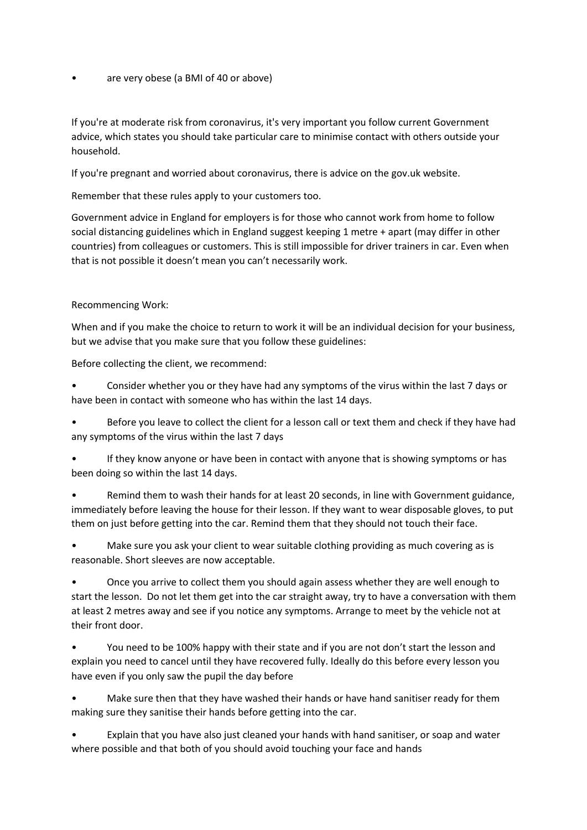are very obese (a BMI of 40 or above)

If you're at moderate risk from coronavirus, it's very important you follow current Government advice, which states you should take particular care to minimise contact with others outside your household.

If you're pregnant and worried about coronavirus, there is advice on the gov.uk website.

Remember that these rules apply to your customers too.

Government advice in England for employers is for those who cannot work from home to follow social distancing guidelines which in England suggest keeping 1 metre + apart (may differ in other countries) from colleagues or customers. This is still impossible for driver trainers in car. Even when that is not possible it doesn't mean you can't necessarily work.

## Recommencing Work:

When and if you make the choice to return to work it will be an individual decision for your business, but we advise that you make sure that you follow these guidelines:

Before collecting the client, we recommend:

• Consider whether you or they have had any symptoms of the virus within the last 7 days or have been in contact with someone who has within the last 14 days.

Before you leave to collect the client for a lesson call or text them and check if they have had any symptoms of the virus within the last 7 days

• If they know anyone or have been in contact with anyone that is showing symptoms or has been doing so within the last 14 days.

• Remind them to wash their hands for at least 20 seconds, in line with Government guidance, immediately before leaving the house for their lesson. If they want to wear disposable gloves, to put them on just before getting into the car. Remind them that they should not touch their face.

• Make sure you ask your client to wear suitable clothing providing as much covering as is reasonable. Short sleeves are now acceptable.

• Once you arrive to collect them you should again assess whether they are well enough to start the lesson. Do not let them get into the car straight away, try to have a conversation with them at least 2 metres away and see if you notice any symptoms. Arrange to meet by the vehicle not at their front door.

• You need to be 100% happy with their state and if you are not don't start the lesson and explain you need to cancel until they have recovered fully. Ideally do this before every lesson you have even if you only saw the pupil the day before

Make sure then that they have washed their hands or have hand sanitiser ready for them making sure they sanitise their hands before getting into the car.

• Explain that you have also just cleaned your hands with hand sanitiser, or soap and water where possible and that both of you should avoid touching your face and hands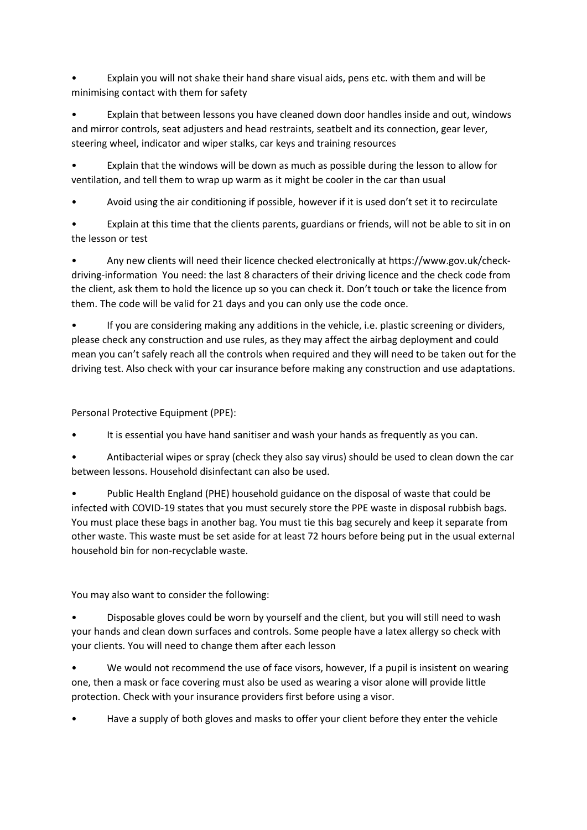• Explain you will not shake their hand share visual aids, pens etc. with them and will be minimising contact with them for safety

• Explain that between lessons you have cleaned down door handles inside and out, windows and mirror controls, seat adjusters and head restraints, seatbelt and its connection, gear lever, steering wheel, indicator and wiper stalks, car keys and training resources

• Explain that the windows will be down as much as possible during the lesson to allow for ventilation, and tell them to wrap up warm as it might be cooler in the car than usual

• Avoid using the air conditioning if possible, however if it is used don't set it to recirculate

Explain at this time that the clients parents, guardians or friends, will not be able to sit in on the lesson or test

• Any new clients will need their licence checked electronically at https://www.gov.uk/checkdriving-information You need: the last 8 characters of their driving licence and the check code from the client, ask them to hold the licence up so you can check it. Don't touch or take the licence from them. The code will be valid for 21 days and you can only use the code once.

• If you are considering making any additions in the vehicle, i.e. plastic screening or dividers, please check any construction and use rules, as they may affect the airbag deployment and could mean you can't safely reach all the controls when required and they will need to be taken out for the driving test. Also check with your car insurance before making any construction and use adaptations.

Personal Protective Equipment (PPE):

It is essential you have hand sanitiser and wash your hands as frequently as you can.

• Antibacterial wipes or spray (check they also say virus) should be used to clean down the car between lessons. Household disinfectant can also be used.

• Public Health England (PHE) household guidance on the disposal of waste that could be infected with COVID-19 states that you must securely store the PPE waste in disposal rubbish bags. You must place these bags in another bag. You must tie this bag securely and keep it separate from other waste. This waste must be set aside for at least 72 hours before being put in the usual external household bin for non-recyclable waste.

You may also want to consider the following:

• Disposable gloves could be worn by yourself and the client, but you will still need to wash your hands and clean down surfaces and controls. Some people have a latex allergy so check with your clients. You will need to change them after each lesson

We would not recommend the use of face visors, however, If a pupil is insistent on wearing one, then a mask or face covering must also be used as wearing a visor alone will provide little protection. Check with your insurance providers first before using a visor.

• Have a supply of both gloves and masks to offer your client before they enter the vehicle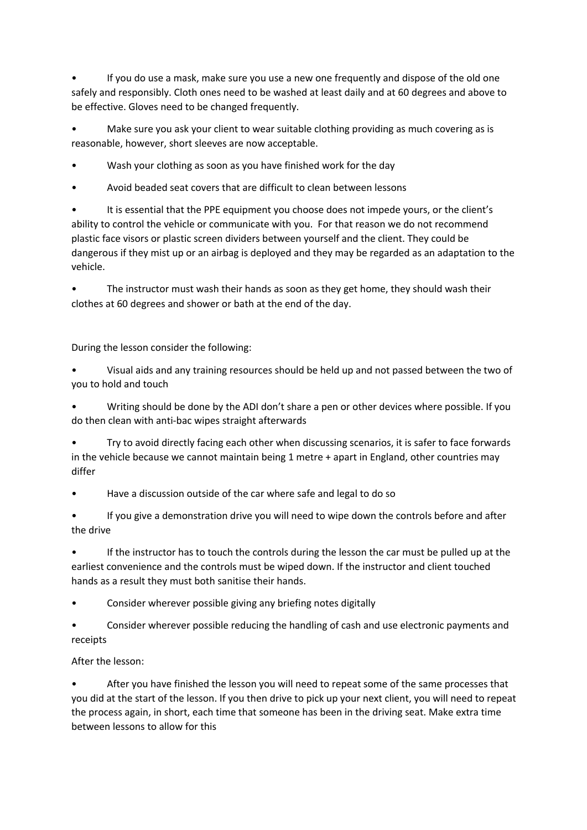• If you do use a mask, make sure you use a new one frequently and dispose of the old one safely and responsibly. Cloth ones need to be washed at least daily and at 60 degrees and above to be effective. Gloves need to be changed frequently.

Make sure you ask your client to wear suitable clothing providing as much covering as is reasonable, however, short sleeves are now acceptable.

Wash your clothing as soon as you have finished work for the day

• Avoid beaded seat covers that are difficult to clean between lessons

It is essential that the PPE equipment you choose does not impede yours, or the client's ability to control the vehicle or communicate with you. For that reason we do not recommend plastic face visors or plastic screen dividers between yourself and the client. They could be dangerous if they mist up or an airbag is deployed and they may be regarded as an adaptation to the vehicle.

The instructor must wash their hands as soon as they get home, they should wash their clothes at 60 degrees and shower or bath at the end of the day.

During the lesson consider the following:

• Visual aids and any training resources should be held up and not passed between the two of you to hold and touch

• Writing should be done by the ADI don't share a pen or other devices where possible. If you do then clean with anti-bac wipes straight afterwards

• Try to avoid directly facing each other when discussing scenarios, it is safer to face forwards in the vehicle because we cannot maintain being 1 metre + apart in England, other countries may differ

• Have a discussion outside of the car where safe and legal to do so

If you give a demonstration drive you will need to wipe down the controls before and after the drive

• If the instructor has to touch the controls during the lesson the car must be pulled up at the earliest convenience and the controls must be wiped down. If the instructor and client touched hands as a result they must both sanitise their hands.

• Consider wherever possible giving any briefing notes digitally

• Consider wherever possible reducing the handling of cash and use electronic payments and receipts

After the lesson:

After you have finished the lesson you will need to repeat some of the same processes that you did at the start of the lesson. If you then drive to pick up your next client, you will need to repeat the process again, in short, each time that someone has been in the driving seat. Make extra time between lessons to allow for this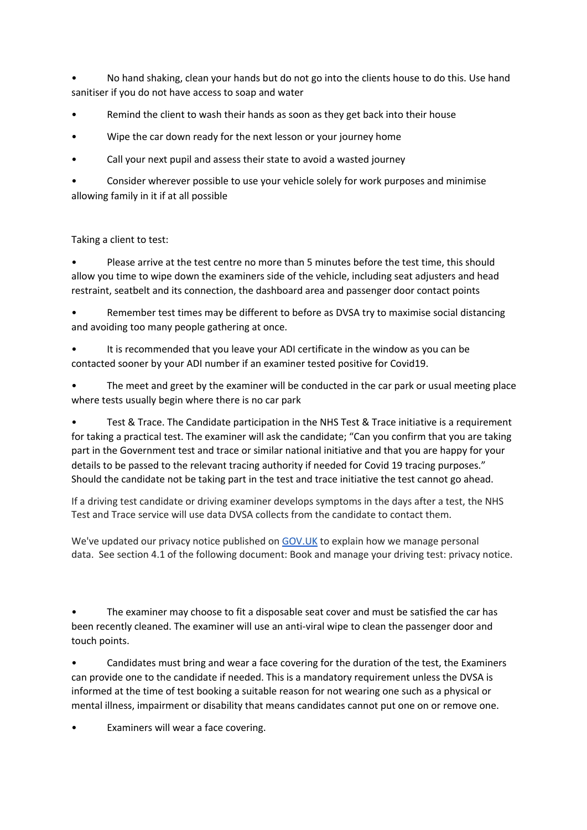• No hand shaking, clean your hands but do not go into the clients house to do this. Use hand sanitiser if you do not have access to soap and water

- Remind the client to wash their hands as soon as they get back into their house
- Wipe the car down ready for the next lesson or your journey home
- Call your next pupil and assess their state to avoid a wasted journey

Consider wherever possible to use your vehicle solely for work purposes and minimise allowing family in it if at all possible

## Taking a client to test:

• Please arrive at the test centre no more than 5 minutes before the test time, this should allow you time to wipe down the examiners side of the vehicle, including seat adjusters and head restraint, seatbelt and its connection, the dashboard area and passenger door contact points

• Remember test times may be different to before as DVSA try to maximise social distancing and avoiding too many people gathering at once.

It is recommended that you leave your ADI certificate in the window as you can be contacted sooner by your ADI number if an examiner tested positive for Covid19.

The meet and greet by the examiner will be conducted in the car park or usual meeting place where tests usually begin where there is no car park

• Test & Trace. The Candidate participation in the NHS Test & Trace initiative is a requirement for taking a practical test. The examiner will ask the candidate; "Can you confirm that you are taking part in the Government test and trace or similar national initiative and that you are happy for your details to be passed to the relevant tracing authority if needed for Covid 19 tracing purposes." Should the candidate not be taking part in the test and trace initiative the test cannot go ahead.

If a driving test candidate or driving examiner develops symptoms in the days after a test, the NHS Test and Trace service will use data DVSA collects from the candidate to contact them.

We've updated our privacy notice published on GOV.UK to explain how we manage personal data. See section 4.1 of the following document: Book and manage your driving test: privacy notice.

The examiner may choose to fit a disposable seat cover and must be satisfied the car has been recently cleaned. The examiner will use an anti-viral wipe to clean the passenger door and touch points.

• Candidates must bring and wear a face covering for the duration of the test, the Examiners can provide one to the candidate if needed. This is a mandatory requirement unless the DVSA is informed at the time of test booking a suitable reason for not wearing one such as a physical or mental illness, impairment or disability that means candidates cannot put one on or remove one.

Examiners will wear a face covering.